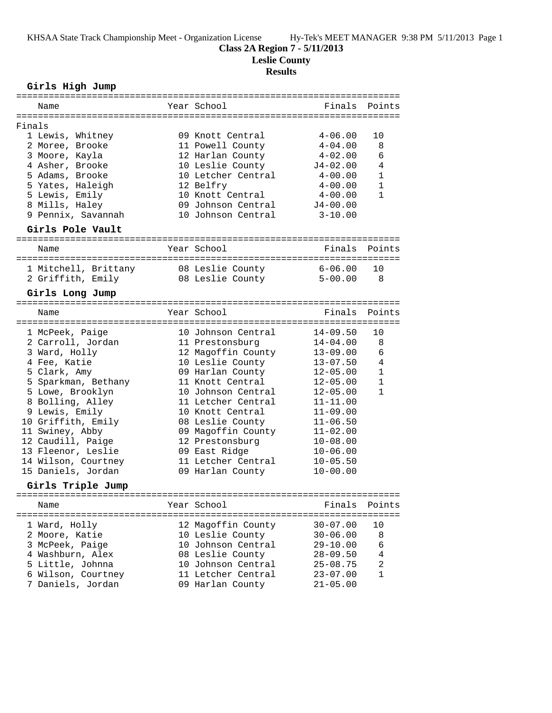KHSAA State Track Championship Meet - Organization License Hy-Tek's MEET MANAGER 9:38 PM 5/11/2013 Page 1

# **Class 2A Region 7 - 5/11/2013**

**Leslie County**

# **Results**

## **Girls High Jump**

|                   | Name                               |  | Year School                            |                     | Finals Points              |  |
|-------------------|------------------------------------|--|----------------------------------------|---------------------|----------------------------|--|
|                   |                                    |  |                                        |                     |                            |  |
| Finals            |                                    |  |                                        |                     |                            |  |
|                   | 1 Lewis, Whitney                   |  | 09 Knott Central                       | $4 - 06.00$         | 10                         |  |
|                   | 2 Moree, Brooke                    |  | 11 Powell County                       | $4-04.00$           | 8<br>6                     |  |
|                   | 3 Moore, Kayla                     |  | 12 Harlan County                       | 4-02.00             | $\overline{4}$             |  |
|                   | 4 Asher, Brooke<br>5 Adams, Brooke |  | 10 Leslie County<br>10 Letcher Central | J4-02.00<br>4-00.00 | $\mathbf{1}$               |  |
|                   | 5 Yates, Haleigh                   |  |                                        | 4-00.00             | $\mathbf{1}$               |  |
|                   | 5 Lewis, Emily                     |  | 12 Belfry<br>10 Knott Central          | $4 - 00.00$         | $\mathbf{1}$               |  |
|                   | 8 Mills, Haley                     |  | 09 Johnson Central                     | $J4 - 00.00$        |                            |  |
|                   | 9 Pennix, Savannah                 |  | 10 Johnson Central                     | $3 - 10.00$         |                            |  |
|                   |                                    |  |                                        |                     |                            |  |
|                   | Girls Pole Vault                   |  |                                        |                     |                            |  |
|                   | Name                               |  | Year School                            |                     | Finals Points              |  |
|                   |                                    |  |                                        |                     |                            |  |
|                   | 1 Mitchell, Brittany               |  | 08 Leslie County                       | 6-06.00             | 10                         |  |
|                   | 2 Griffith, Emily                  |  | 08 Leslie County                       | $5 - 00.00$         | $\overline{\phantom{1}}$ 8 |  |
|                   | Girls Long Jump                    |  |                                        |                     |                            |  |
|                   | Name                               |  | Year School                            | Finals              | Points                     |  |
|                   |                                    |  |                                        |                     |                            |  |
|                   | 1 McPeek, Paige                    |  | 10 Johnson Central                     | 14-09.50            | 10                         |  |
|                   | 2 Carroll, Jordan                  |  | 11 Prestonsburg                        | $14 - 04.00$        | 8                          |  |
|                   | 3 Ward, Holly                      |  | 12 Magoffin County                     | $13 - 09.00$        | 6                          |  |
|                   | 4 Fee, Katie                       |  | 10 Leslie County                       | 13-07.50            | 4                          |  |
|                   | 5 Clark, Amy                       |  | 09 Harlan County                       | $12 - 05.00$        | 1                          |  |
|                   | 5 Sparkman, Bethany                |  | 11 Knott Central                       | 12-05.00            | $\mathbf{1}$               |  |
|                   | 5 Lowe, Brooklyn                   |  | 10 Johnson Central                     | $12 - 05.00$        | $\mathbf{1}$               |  |
|                   | 8 Bolling, Alley                   |  | 11 Letcher Central                     | $11 - 11.00$        |                            |  |
|                   | 9 Lewis, Emily                     |  | 10 Knott Central                       | $11 - 09.00$        |                            |  |
|                   | 10 Griffith, Emily                 |  | 08 Leslie County                       | $11 - 06.50$        |                            |  |
|                   | 11 Swiney, Abby                    |  | 09 Magoffin County                     | $11 - 02.00$        |                            |  |
|                   | 12 Caudill, Paige                  |  | 12 Prestonsburg                        | $10 - 08.00$        |                            |  |
|                   | 13 Fleenor, Leslie                 |  | 09 East Ridge                          | $10 - 06.00$        |                            |  |
|                   | 14 Wilson, Courtney                |  | 11 Letcher Central                     | $10 - 05.50$        |                            |  |
|                   | 15 Daniels, Jordan                 |  | 09 Harlan County                       | $10 - 00.00$        |                            |  |
| Girls Triple Jump |                                    |  |                                        |                     |                            |  |
|                   | Name                               |  | Year School                            | Finals              | Points                     |  |
|                   |                                    |  |                                        |                     |                            |  |
|                   | 1 Ward, Holly                      |  | 12 Magoffin County                     | $30 - 07.00$        | 10                         |  |
|                   | 2 Moore, Katie                     |  | 10 Leslie County                       | $30 - 06.00$        | 8                          |  |
|                   | 3 McPeek, Paige                    |  | 10 Johnson Central                     | $29 - 10.00$        | 6                          |  |
|                   | 4 Washburn, Alex                   |  | 08 Leslie County                       | $28 - 09.50$        | 4                          |  |
|                   | 5 Little, Johnna                   |  | 10 Johnson Central                     | $25 - 08.75$        | $\overline{a}$             |  |
|                   | 6 Wilson, Courtney                 |  | 11 Letcher Central                     | $23 - 07.00$        | $\mathbf{1}$               |  |
|                   | 7 Daniels, Jordan                  |  | 09 Harlan County                       | $21 - 05.00$        |                            |  |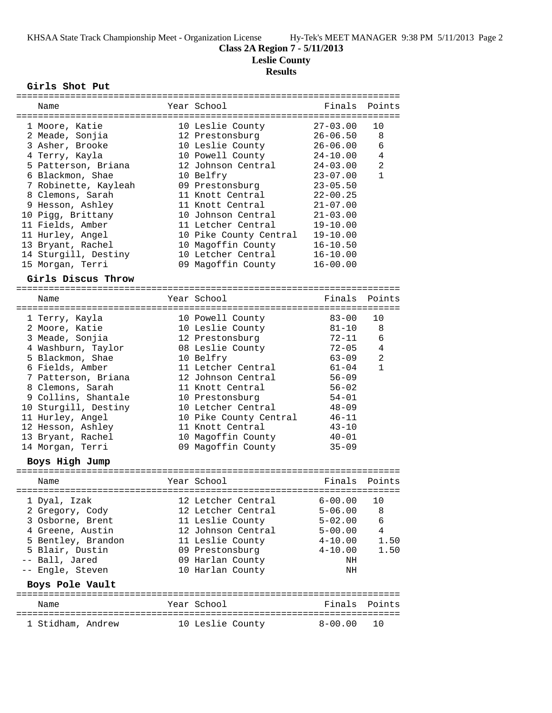**Class 2A Region 7 - 5/11/2013**

**Leslie County**

### **Results**

### **Girls Shot Put**

|                 | ===========          |  | =============================== |              |                |
|-----------------|----------------------|--|---------------------------------|--------------|----------------|
|                 | Name                 |  | Year School                     | Finals       | Points         |
|                 |                      |  |                                 |              |                |
|                 | 1 Moore, Katie       |  | 10 Leslie County                | $27 - 03.00$ | 10             |
|                 | 2 Meade, Sonjia      |  | 12 Prestonsburg                 | $26 - 06.50$ | 8              |
|                 | 3 Asher, Brooke      |  | 10 Leslie County                | $26 - 06.00$ | 6              |
|                 | 4 Terry, Kayla       |  | 10 Powell County                | $24 - 10.00$ | 4              |
|                 | 5 Patterson, Briana  |  | 12 Johnson Central              | $24 - 03.00$ | $\overline{2}$ |
|                 | 6 Blackmon, Shae     |  | 10 Belfry                       | $23 - 07.00$ | 1              |
|                 | 7 Robinette, Kayleah |  | 09 Prestonsburg                 | $23 - 05.50$ |                |
|                 | 8 Clemons, Sarah     |  | 11 Knott Central                | $22 - 00.25$ |                |
|                 | 9 Hesson, Ashley     |  | 11 Knott Central                | $21 - 07.00$ |                |
|                 |                      |  |                                 |              |                |
|                 | 10 Pigg, Brittany    |  | 10 Johnson Central              | $21 - 03.00$ |                |
|                 | 11 Fields, Amber     |  | 11 Letcher Central              | $19 - 10.00$ |                |
|                 | 11 Hurley, Angel     |  | 10 Pike County Central          | 19-10.00     |                |
|                 | 13 Bryant, Rachel    |  | 10 Magoffin County              | $16 - 10.50$ |                |
|                 | 14 Sturgill, Destiny |  | 10 Letcher Central              | $16 - 10.00$ |                |
|                 | 15 Morgan, Terri     |  | 09 Magoffin County              | $16 - 00.00$ |                |
|                 | Girls Discus Throw   |  |                                 |              |                |
|                 |                      |  |                                 |              |                |
|                 | Name                 |  | Year School                     | Finals       | Points         |
|                 |                      |  |                                 |              |                |
|                 | 1 Terry, Kayla       |  | 10 Powell County                | $83 - 00$    | 10             |
|                 | 2 Moore, Katie       |  | 10 Leslie County                | $81 - 10$    | 8              |
|                 | 3 Meade, Sonjia      |  | 12 Prestonsburg                 | $72 - 11$    | 6              |
|                 | 4 Washburn, Taylor   |  | 08 Leslie County                | $72 - 05$    | 4              |
|                 | 5 Blackmon, Shae     |  | 10 Belfry                       | $63 - 09$    | $\overline{2}$ |
|                 | 6 Fields, Amber      |  | 11 Letcher Central              | $61 - 04$    | $\mathbf{1}$   |
|                 | 7 Patterson, Briana  |  | 12 Johnson Central              | $56 - 09$    |                |
|                 | 8 Clemons, Sarah     |  | 11 Knott Central                | $56 - 02$    |                |
|                 | 9 Collins, Shantale  |  | 10 Prestonsburg                 | $54 - 01$    |                |
|                 | 10 Sturgill, Destiny |  | 10 Letcher Central              | $48 - 09$    |                |
|                 | 11 Hurley, Angel     |  |                                 | $46 - 11$    |                |
|                 |                      |  | 10 Pike County Central          |              |                |
|                 | 12 Hesson, Ashley    |  | 11 Knott Central                | $43 - 10$    |                |
|                 | 13 Bryant, Rachel    |  | 10 Magoffin County              | $40 - 01$    |                |
|                 | 14 Morgan, Terri     |  | 09 Magoffin County              | $35 - 09$    |                |
|                 | Boys High Jump       |  |                                 |              |                |
|                 |                      |  | -----------------------------   |              |                |
|                 | Name                 |  | Year School                     | Finals       | Points         |
|                 | 1 Dyal, Izak         |  | 12 Letcher Central              | $6 - 00.00$  | 10             |
|                 | 2 Gregory, Cody      |  | 12 Letcher Central              | $5 - 06.00$  | 8              |
|                 | 3 Osborne, Brent     |  | 11 Leslie County                | $5 - 02.00$  | 6              |
|                 | 4 Greene, Austin     |  | 12 Johnson Central              | $5 - 00.00$  | $\overline{4}$ |
|                 |                      |  |                                 |              |                |
|                 | 5 Bentley, Brandon   |  | 11 Leslie County                | $4 - 10.00$  | 1.50           |
|                 | 5 Blair, Dustin      |  | 09 Prestonsburg                 | $4 - 10.00$  | 1.50           |
|                 | -- Ball, Jared       |  | 09 Harlan County                | ΝH           |                |
|                 | -- Engle, Steven     |  | 10 Harlan County                | ΝH           |                |
| Boys Pole Vault |                      |  |                                 |              |                |
|                 | Name                 |  | Year School                     | Finals       | Points         |
|                 |                      |  |                                 |              |                |
|                 | 1 Stidham, Andrew    |  | 10 Leslie County                | $8 - 00.00$  | 10             |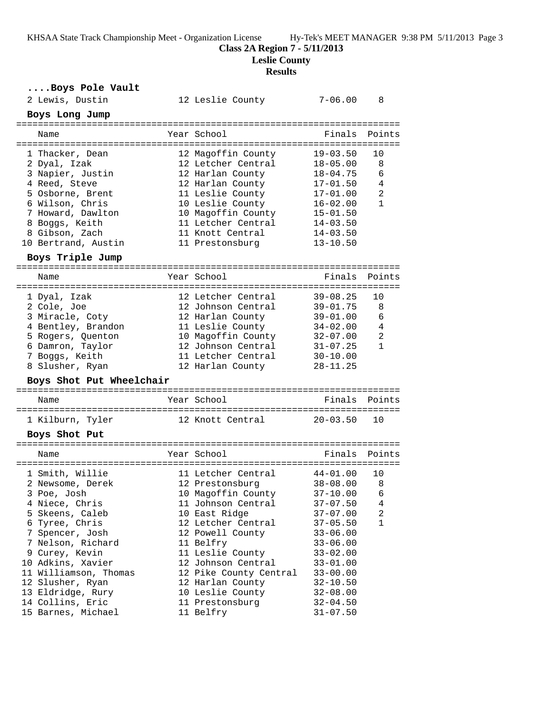KHSAA State Track Championship Meet - Organization License Hy-Tek's MEET MANAGER 9:38 PM 5/11/2013 Page 3

**Class 2A Region 7 - 5/11/2013**

**Leslie County**

## **Results**

**....Boys Pole Vault**

| 2 Lewis, Dustin     |                          | 12 Leslie County       | $7 - 06.00$  | 8            |
|---------------------|--------------------------|------------------------|--------------|--------------|
| Boys Long Jump      |                          |                        |              |              |
| Name                |                          | Year School            | Finals       | Points       |
| 1 Thacker, Dean     |                          | 12 Magoffin County     | $19 - 03.50$ | 10           |
| 2 Dyal, Izak        |                          | 12 Letcher Central     | $18 - 05.00$ | 8            |
| 3 Napier, Justin    |                          | 12 Harlan County       | 18-04.75     | 6            |
| 4 Reed, Steve       |                          | 12 Harlan County       | $17 - 01.50$ | 4            |
| 5 Osborne, Brent    |                          | 11 Leslie County       | $17 - 01.00$ | 2            |
| 6 Wilson, Chris     |                          | 10 Leslie County       | $16 - 02.00$ | $\mathbf{1}$ |
| 7 Howard, Dawlton   |                          | 10 Magoffin County     | $15 - 01.50$ |              |
| 8 Boggs, Keith      |                          | 11 Letcher Central     | $14 - 03.50$ |              |
| 8 Gibson, Zach      |                          | 11 Knott Central       | $14 - 03.50$ |              |
| 10 Bertrand, Austin |                          | 11 Prestonsburg        | $13 - 10.50$ |              |
| Boys Triple Jump    |                          |                        |              |              |
| Name                |                          | Year School            | Finals       | Points       |
|                     |                          |                        |              |              |
| 1 Dyal, Izak        |                          | 12 Letcher Central     | $39 - 08.25$ | 10           |
| 2 Cole, Joe         |                          | 12 Johnson Central     | $39 - 01.75$ | 8            |
| 3 Miracle, Coty     |                          | 12 Harlan County       | $39 - 01.00$ | 6            |
|                     | 4 Bentley, Brandon       | 11 Leslie County       | $34 - 02.00$ | 4            |
| 5 Rogers, Quenton   |                          | 10 Magoffin County     | $32 - 07.00$ | 2            |
| 6 Damron, Taylor    |                          | 12 Johnson Central     | $31 - 07.25$ | $\mathbf{1}$ |
| 7 Boggs, Keith      |                          | 11 Letcher Central     | $30 - 10.00$ |              |
| 8 Slusher, Ryan     |                          | 12 Harlan County       | $28 - 11.25$ |              |
|                     | Boys Shot Put Wheelchair |                        |              |              |
| Name                |                          | Year School            | Finals       | Points       |
|                     |                          |                        |              |              |
| 1 Kilburn, Tyler    |                          | 12 Knott Central       | $20 - 03.50$ | 10           |
| Boys Shot Put       |                          |                        |              |              |
| Name                |                          | Year School            | Finals       | Points       |
|                     |                          |                        |              |              |
| 1 Smith, Willie     |                          | 11 Letcher Central     | $44 - 01.00$ | 10           |
| 2 Newsome, Derek    |                          | 12 Prestonsburg        | $38 - 08.00$ | -8           |
| 3 Poe, Josh         |                          | 10 Magoffin County     | $37 - 10.00$ | 6            |
| 4 Niece, Chris      |                          | 11 Johnson Central     | $37 - 07.50$ | 4            |
| 5 Skeens, Caleb     |                          | 10 East Ridge          | $37 - 07.00$ | 2            |
| 6 Tyree, Chris      |                          | 12 Letcher Central     | $37 - 05.50$ | $\mathbf{1}$ |
| 7 Spencer, Josh     |                          | 12 Powell County       | $33 - 06.00$ |              |
| 7 Nelson, Richard   |                          | 11 Belfry              | $33 - 06.00$ |              |
| 9 Curey, Kevin      |                          | 11 Leslie County       | $33 - 02.00$ |              |
| 10 Adkins, Xavier   |                          | 12 Johnson Central     | $33 - 01.00$ |              |
|                     | 11 Williamson, Thomas    | 12 Pike County Central | $33 - 00.00$ |              |
| 12 Slusher, Ryan    |                          | 12 Harlan County       | $32 - 10.50$ |              |
| 13 Eldridge, Rury   |                          | 10 Leslie County       | $32 - 08.00$ |              |
| 14 Collins, Eric    |                          | 11 Prestonsburg        | $32 - 04.50$ |              |
|                     | 15 Barnes, Michael       | 11 Belfry              | $31 - 07.50$ |              |